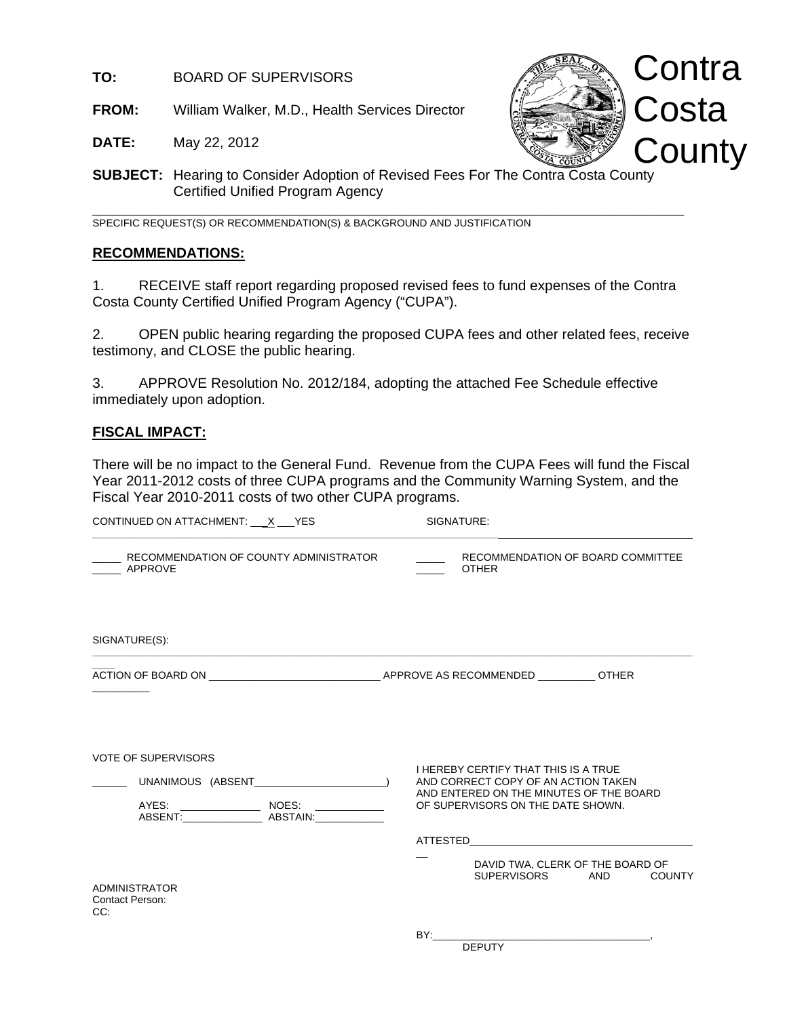**TO:** BOARD OF SUPERVISORS

**FROM:** William Walker, M.D., Health Services Director

**Contra**  Costa **County** 

**DATE:** May 22, 2012

**SUBJECT:** Hearing to Consider Adoption of Revised Fees For The Contra Costa County Certified Unified Program Agency

**\_\_\_\_\_\_\_\_\_\_\_\_\_\_\_\_\_\_\_\_\_\_\_\_\_\_\_\_\_\_\_\_\_\_\_\_\_\_\_\_\_\_\_\_\_\_\_\_\_\_\_\_\_\_\_\_\_\_\_\_\_\_\_\_\_\_\_\_\_** SPECIFIC REQUEST(S) OR RECOMMENDATION(S) & BACKGROUND AND JUSTIFICATION

### **RECOMMENDATIONS:**

1. RECEIVE staff report regarding proposed revised fees to fund expenses of the Contra Costa County Certified Unified Program Agency ("CUPA").

2. OPEN public hearing regarding the proposed CUPA fees and other related fees, receive testimony, and CLOSE the public hearing.

3. APPROVE Resolution No. 2012/184, adopting the attached Fee Schedule effective immediately upon adoption.

### **FISCAL IMPACT:**

There will be no impact to the General Fund. Revenue from the CUPA Fees will fund the Fiscal Year 2011-2012 costs of three CUPA programs and the Community Warning System, and the Fiscal Year 2010-2011 costs of two other CUPA programs.

| CONTINUED ON ATTACHMENT: X __ YES                        | SIGNATURE:                                                                                                                                                                                                                                 |
|----------------------------------------------------------|--------------------------------------------------------------------------------------------------------------------------------------------------------------------------------------------------------------------------------------------|
| RECOMMENDATION OF COUNTY ADMINISTRATOR<br><b>APPROVE</b> | RECOMMENDATION OF BOARD COMMITTEE<br><b>OTHER</b>                                                                                                                                                                                          |
| SIGNATURE(S):                                            |                                                                                                                                                                                                                                            |
|                                                          |                                                                                                                                                                                                                                            |
| <b>VOTE OF SUPERVISORS</b>                               | <b>I HEREBY CERTIFY THAT THIS IS A TRUE</b><br>AND CORRECT COPY OF AN ACTION TAKEN<br>AND ENTERED ON THE MINUTES OF THE BOARD<br>OF SUPERVISORS ON THE DATE SHOWN.<br>DAVID TWA, CLERK OF THE BOARD OF<br>SUPERVISORS AND<br><b>COUNTY</b> |
| <b>ADMINISTRATOR</b><br><b>Contact Person:</b><br>CC:    | BY:<br><b>DEPUTY</b>                                                                                                                                                                                                                       |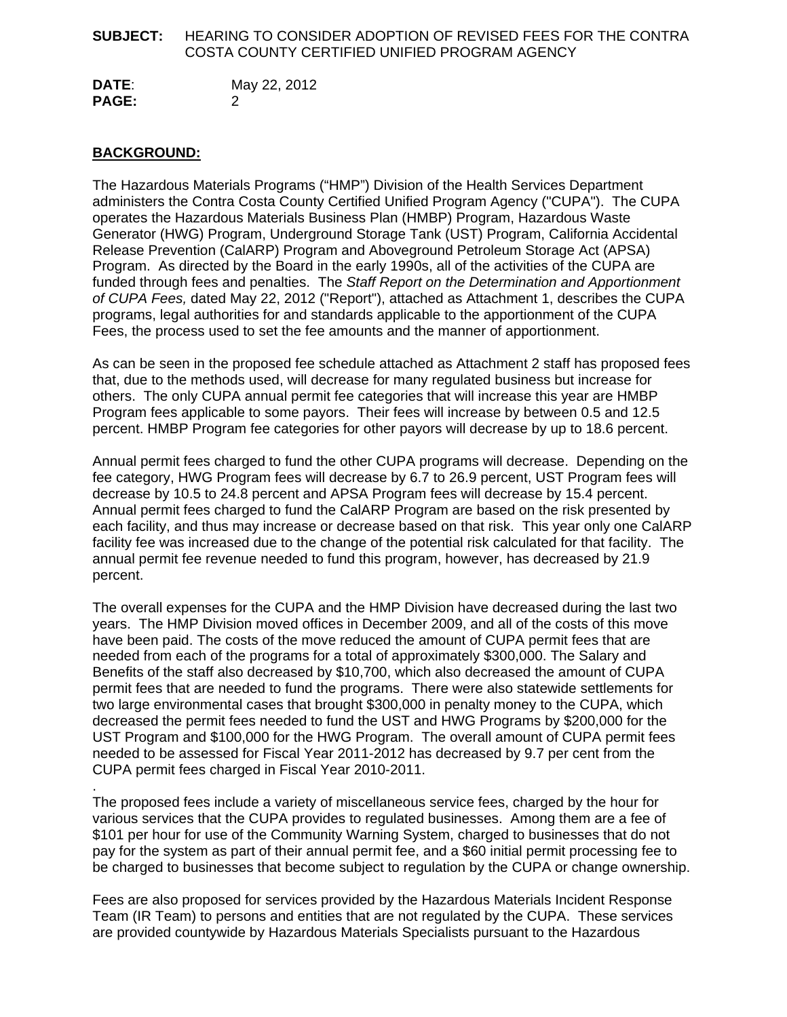### **SUBJECT:** HEARING TO CONSIDER ADOPTION OF REVISED FEES FOR THE CONTRA COSTA COUNTY CERTIFIED UNIFIED PROGRAM AGENCY

**DATE**: May 22, 2012 **PAGE:** 2

### **BACKGROUND:**

The Hazardous Materials Programs ("HMP") Division of the Health Services Department administers the Contra Costa County Certified Unified Program Agency ("CUPA"). The CUPA operates the Hazardous Materials Business Plan (HMBP) Program, Hazardous Waste Generator (HWG) Program, Underground Storage Tank (UST) Program, California Accidental Release Prevention (CalARP) Program and Aboveground Petroleum Storage Act (APSA) Program. As directed by the Board in the early 1990s, all of the activities of the CUPA are funded through fees and penalties. The *Staff Report on the Determination and Apportionment of CUPA Fees,* dated May 22, 2012 ("Report"), attached as Attachment 1, describes the CUPA programs, legal authorities for and standards applicable to the apportionment of the CUPA Fees, the process used to set the fee amounts and the manner of apportionment.

As can be seen in the proposed fee schedule attached as Attachment 2 staff has proposed fees that, due to the methods used, will decrease for many regulated business but increase for others. The only CUPA annual permit fee categories that will increase this year are HMBP Program fees applicable to some payors. Their fees will increase by between 0.5 and 12.5 percent. HMBP Program fee categories for other payors will decrease by up to 18.6 percent.

Annual permit fees charged to fund the other CUPA programs will decrease. Depending on the fee category, HWG Program fees will decrease by 6.7 to 26.9 percent, UST Program fees will decrease by 10.5 to 24.8 percent and APSA Program fees will decrease by 15.4 percent. Annual permit fees charged to fund the CalARP Program are based on the risk presented by each facility, and thus may increase or decrease based on that risk. This year only one CalARP facility fee was increased due to the change of the potential risk calculated for that facility. The annual permit fee revenue needed to fund this program, however, has decreased by 21.9 percent.

The overall expenses for the CUPA and the HMP Division have decreased during the last two years. The HMP Division moved offices in December 2009, and all of the costs of this move have been paid. The costs of the move reduced the amount of CUPA permit fees that are needed from each of the programs for a total of approximately \$300,000. The Salary and Benefits of the staff also decreased by \$10,700, which also decreased the amount of CUPA permit fees that are needed to fund the programs. There were also statewide settlements for two large environmental cases that brought \$300,000 in penalty money to the CUPA, which decreased the permit fees needed to fund the UST and HWG Programs by \$200,000 for the UST Program and \$100,000 for the HWG Program. The overall amount of CUPA permit fees needed to be assessed for Fiscal Year 2011-2012 has decreased by 9.7 per cent from the CUPA permit fees charged in Fiscal Year 2010-2011.

. The proposed fees include a variety of miscellaneous service fees, charged by the hour for various services that the CUPA provides to regulated businesses. Among them are a fee of \$101 per hour for use of the Community Warning System, charged to businesses that do not pay for the system as part of their annual permit fee, and a \$60 initial permit processing fee to be charged to businesses that become subject to regulation by the CUPA or change ownership.

Fees are also proposed for services provided by the Hazardous Materials Incident Response Team (IR Team) to persons and entities that are not regulated by the CUPA. These services are provided countywide by Hazardous Materials Specialists pursuant to the Hazardous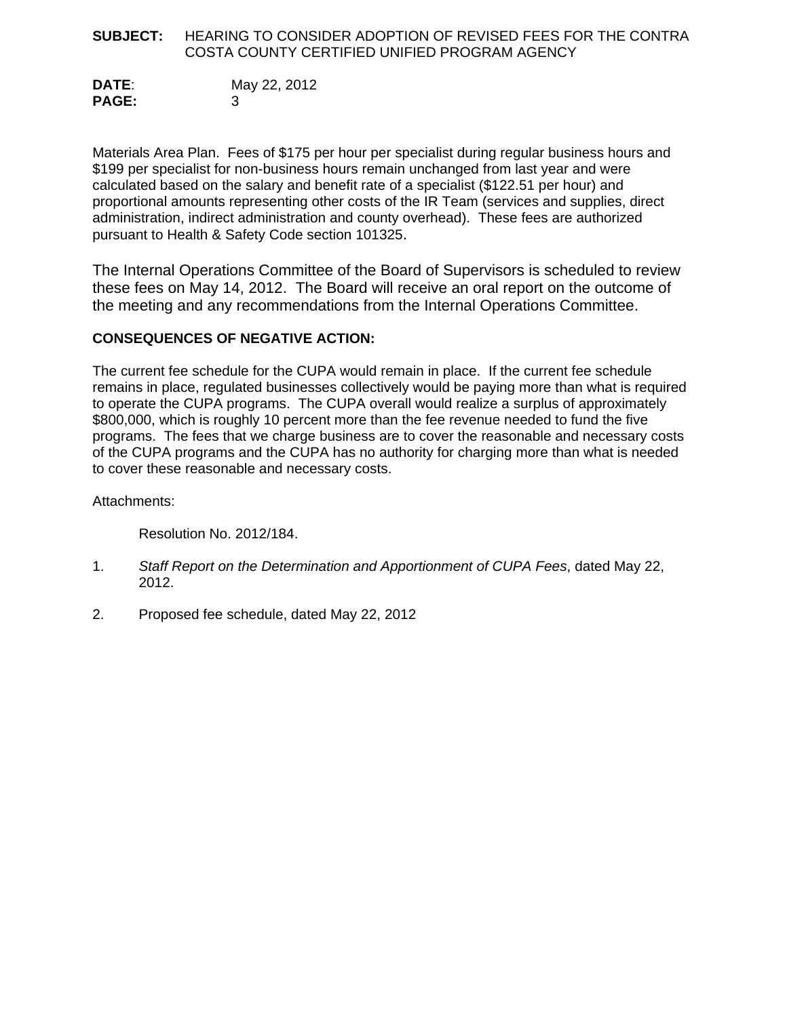#### **SUBJECT:** HEARING TO CONSIDER ADOPTION OF REVISED FEES FOR THE CONTRA COSTA COUNTY CERTIFIED UNIFIED PROGRAM AGENCY

**DATE**: May 22, 2012 **PAGE:** 3

Materials Area Plan. Fees of \$175 per hour per specialist during regular business hours and \$199 per specialist for non-business hours remain unchanged from last year and were calculated based on the salary and benefit rate of a specialist (\$122.51 per hour) and proportional amounts representing other costs of the IR Team (services and supplies, direct administration, indirect administration and county overhead). These fees are authorized pursuant to Health & Safety Code section 101325.

The Internal Operations Committee of the Board of Supervisors is scheduled to review these fees on May 14, 2012. The Board will receive an oral report on the outcome of the meeting and any recommendations from the Internal Operations Committee.

### **CONSEQUENCES OF NEGATIVE ACTION:**

The current fee schedule for the CUPA would remain in place. If the current fee schedule remains in place, regulated businesses collectively would be paying more than what is required to operate the CUPA programs. The CUPA overall would realize a surplus of approximately \$800,000, which is roughly 10 percent more than the fee revenue needed to fund the five programs. The fees that we charge business are to cover the reasonable and necessary costs of the CUPA programs and the CUPA has no authority for charging more than what is needed to cover these reasonable and necessary costs.

Attachments:

Resolution No. 2012/184.

- 1. *Staff Report on the Determination and Apportionment of CUPA Fees*, dated May 22, 2012.
- 2. Proposed fee schedule, dated May 22, 2012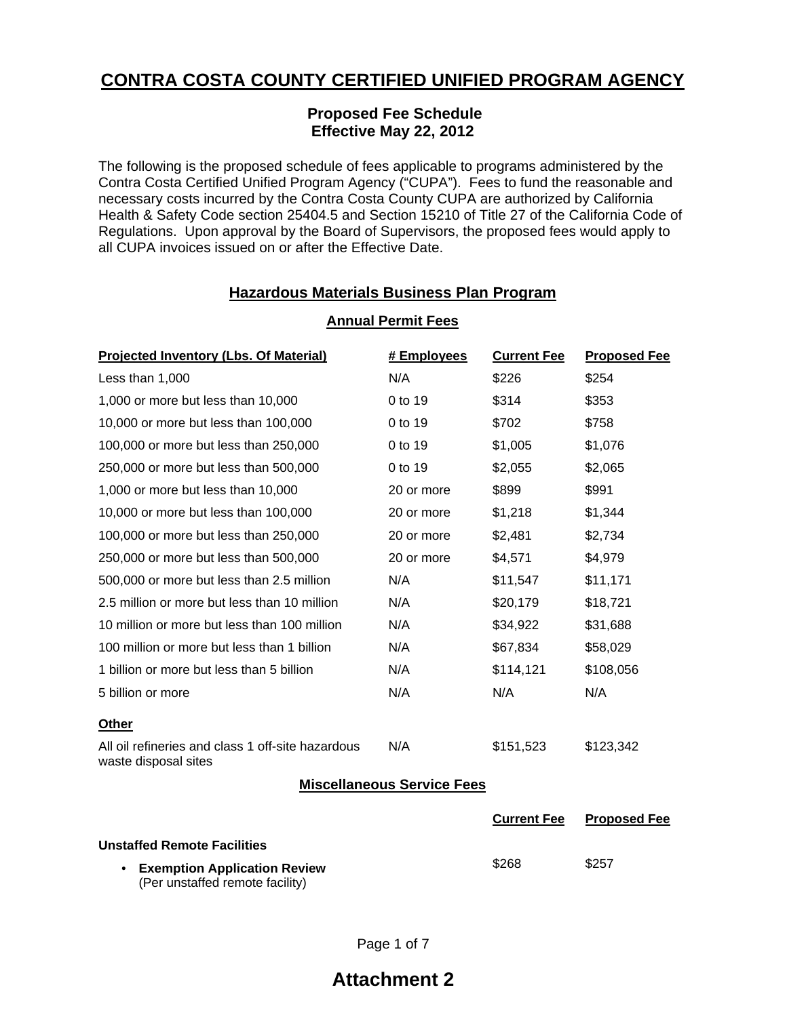# **CONTRA COSTA COUNTY CERTIFIED UNIFIED PROGRAM AGENCY**

### **Proposed Fee Schedule Effective May 22, 2012**

The following is the proposed schedule of fees applicable to programs administered by the Contra Costa Certified Unified Program Agency ("CUPA"). Fees to fund the reasonable and necessary costs incurred by the Contra Costa County CUPA are authorized by California Health & Safety Code section 25404.5 and Section 15210 of Title 27 of the California Code of Regulations. Upon approval by the Board of Supervisors, the proposed fees would apply to all CUPA invoices issued on or after the Effective Date.

# **Hazardous Materials Business Plan Program**

| <b>Projected Inventory (Lbs. Of Material)</b>                             | # Employees | <b>Current Fee</b> | <b>Proposed Fee</b> |  |
|---------------------------------------------------------------------------|-------------|--------------------|---------------------|--|
| Less than 1,000                                                           | N/A         | \$226              | \$254               |  |
| 1,000 or more but less than 10,000                                        | 0 to 19     | \$314              | \$353               |  |
| 10,000 or more but less than 100,000                                      | 0 to 19     | \$702              | \$758               |  |
| 100,000 or more but less than 250,000                                     | 0 to 19     | \$1,005            | \$1,076             |  |
| 250,000 or more but less than 500,000                                     | 0 to 19     | \$2,055            | \$2,065             |  |
| 1,000 or more but less than 10,000                                        | 20 or more  | \$899              | \$991               |  |
| 10,000 or more but less than 100,000                                      | 20 or more  | \$1,218            | \$1,344             |  |
| 100,000 or more but less than 250,000                                     | 20 or more  | \$2,481            | \$2,734             |  |
| 250,000 or more but less than 500,000                                     | 20 or more  | \$4,571            | \$4,979             |  |
| 500,000 or more but less than 2.5 million                                 | N/A         | \$11,547           | \$11,171            |  |
| 2.5 million or more but less than 10 million                              | N/A         | \$20,179           | \$18,721            |  |
| 10 million or more but less than 100 million                              | N/A         | \$34,922           | \$31,688            |  |
| 100 million or more but less than 1 billion                               | N/A         | \$67,834           | \$58,029            |  |
| 1 billion or more but less than 5 billion                                 | N/A         | \$114,121          | \$108,056           |  |
| 5 billion or more                                                         | N/A         | N/A                | N/A                 |  |
| <b>Other</b>                                                              |             |                    |                     |  |
| All oil refineries and class 1 off-site hazardous<br>waste disposal sites | N/A         | \$151,523          | \$123,342           |  |
| <b>Miscellaneous Service Fees</b>                                         |             |                    |                     |  |
|                                                                           |             | <b>Current Fee</b> | <b>Proposed Fee</b> |  |
| <b>Unstaffed Remote Facilities</b>                                        |             |                    |                     |  |
| • Examption Application Paview                                            |             | \$268              | \$257               |  |

### **Annual Permit Fees**

• **Exemption Application Review**  (Per unstaffed remote facility)

# **Attachment 2**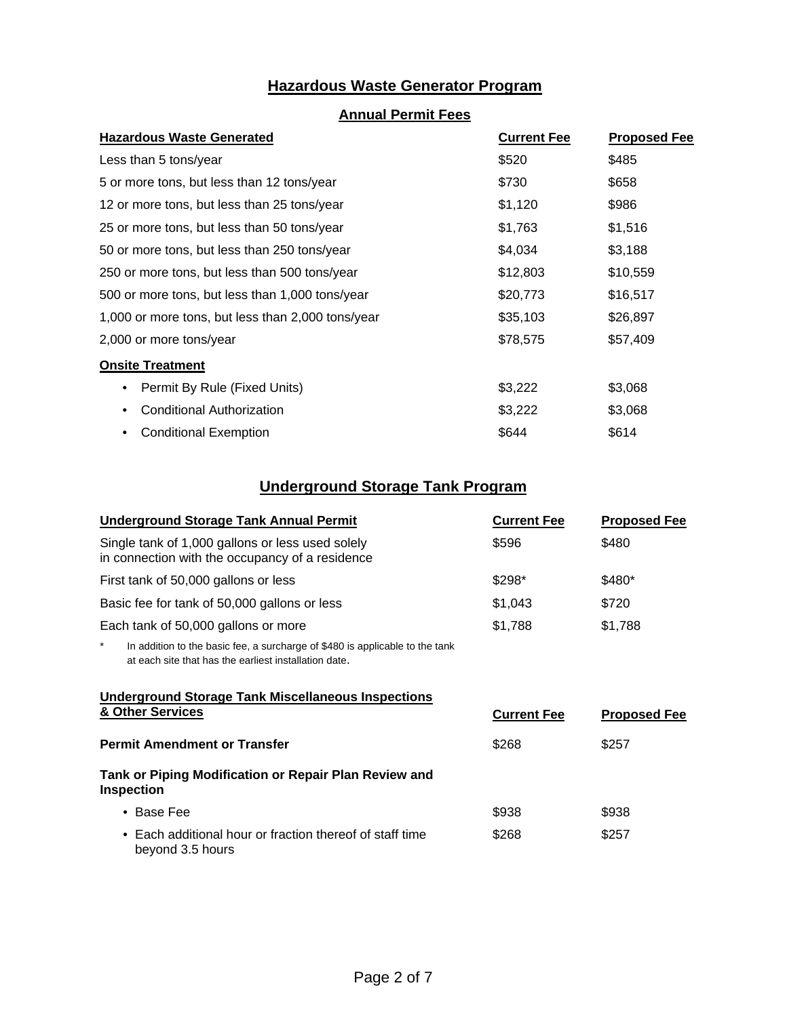# **Hazardous Waste Generator Program**

### **Annual Permit Fees**

| <b>Hazardous Waste Generated</b>                  | <b>Current Fee</b> | <b>Proposed Fee</b> |  |
|---------------------------------------------------|--------------------|---------------------|--|
| Less than 5 tons/year                             | \$520              | \$485               |  |
| 5 or more tons, but less than 12 tons/year        | \$730              | \$658               |  |
| 12 or more tons, but less than 25 tons/year       | \$1,120            | \$986               |  |
| 25 or more tons, but less than 50 tons/year       | \$1,763            | \$1,516             |  |
| 50 or more tons, but less than 250 tons/year      | \$4,034            | \$3,188             |  |
| 250 or more tons, but less than 500 tons/year     | \$12,803           | \$10,559            |  |
| 500 or more tons, but less than 1,000 tons/year   | \$20,773           | \$16,517            |  |
| 1,000 or more tons, but less than 2,000 tons/year | \$35,103           | \$26,897            |  |
| 2,000 or more tons/year                           | \$78,575           | \$57,409            |  |
| <b>Onsite Treatment</b>                           |                    |                     |  |
| Permit By Rule (Fixed Units)                      | \$3,222            | \$3,068             |  |
| <b>Conditional Authorization</b><br>$\bullet$     | \$3,222            | \$3,068             |  |
| <b>Conditional Exemption</b>                      | \$644              | \$614               |  |

# **Underground Storage Tank Program**

| <b>Underground Storage Tank Annual Permit</b>                                                       | <b>Current Fee</b> | <b>Proposed Fee</b> |  |
|-----------------------------------------------------------------------------------------------------|--------------------|---------------------|--|
| Single tank of 1,000 gallons or less used solely<br>in connection with the occupancy of a residence | \$596              | \$480               |  |
| First tank of 50,000 gallons or less                                                                | $$298*$            | \$480*              |  |
| Basic fee for tank of 50,000 gallons or less                                                        | \$1,043            | \$720               |  |
| Each tank of 50,000 gallons or more                                                                 | \$1,788            | \$1,788             |  |
|                                                                                                     |                    |                     |  |

\* In addition to the basic fee, a surcharge of \$480 is applicable to the tank at each site that has the earliest installation date.

#### **Underground Storage Tank Miscellaneous Inspections A** Other Services **Current Fee Proposed Fee**

| * **************                                                             | <b>UULLELIL LEE</b> | <b>FIUDUSEU FEE</b> |  |
|------------------------------------------------------------------------------|---------------------|---------------------|--|
| <b>Permit Amendment or Transfer</b>                                          | \$268               | \$257               |  |
| Tank or Piping Modification or Repair Plan Review and<br><b>Inspection</b>   |                     |                     |  |
| $\bullet$ Base Fee                                                           | \$938               | \$938               |  |
| • Each additional hour or fraction thereof of staff time<br>beyond 3.5 hours | \$268               | \$257               |  |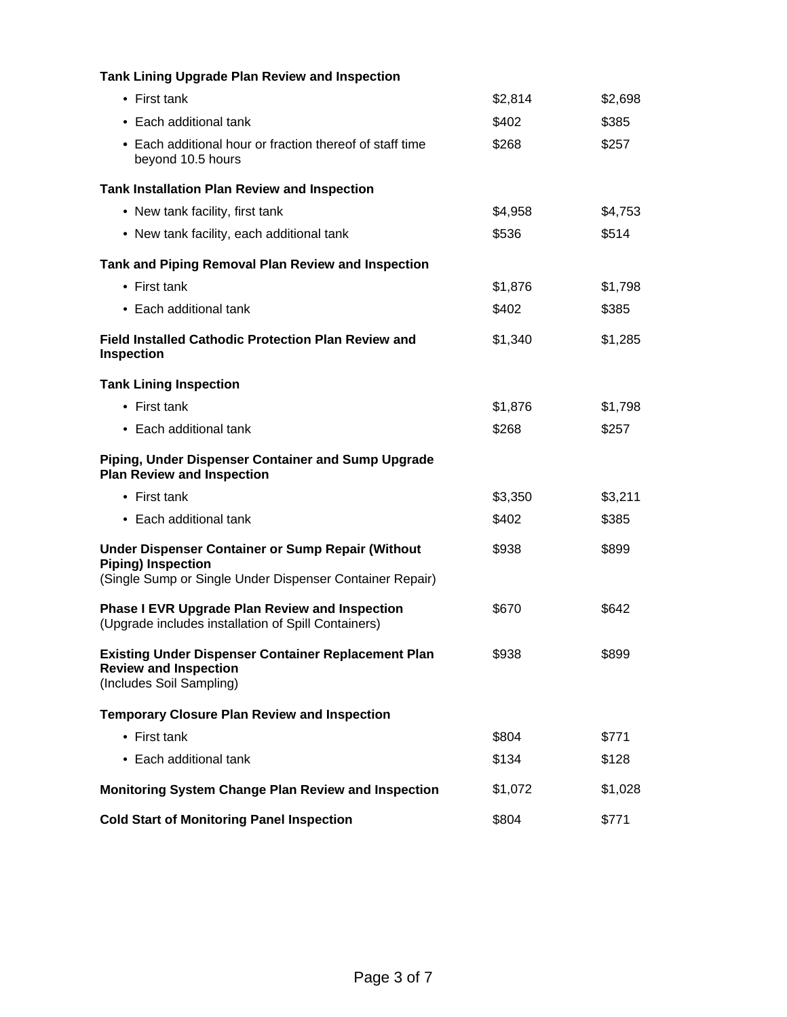| <b>Tank Lining Upgrade Plan Review and Inspection</b>                                                                                             |         |         |
|---------------------------------------------------------------------------------------------------------------------------------------------------|---------|---------|
| $\bullet$ First tank                                                                                                                              | \$2,814 | \$2,698 |
| • Each additional tank                                                                                                                            | \$402   | \$385   |
| • Each additional hour or fraction thereof of staff time<br>beyond 10.5 hours                                                                     | \$268   | \$257   |
| <b>Tank Installation Plan Review and Inspection</b>                                                                                               |         |         |
| • New tank facility, first tank                                                                                                                   | \$4,958 | \$4,753 |
| • New tank facility, each additional tank                                                                                                         | \$536   | \$514   |
| Tank and Piping Removal Plan Review and Inspection                                                                                                |         |         |
| • First tank                                                                                                                                      | \$1,876 | \$1,798 |
| • Each additional tank                                                                                                                            | \$402   | \$385   |
| <b>Field Installed Cathodic Protection Plan Review and</b><br><b>Inspection</b>                                                                   | \$1,340 | \$1,285 |
| <b>Tank Lining Inspection</b>                                                                                                                     |         |         |
| $\bullet$ First tank                                                                                                                              | \$1,876 | \$1,798 |
| • Each additional tank                                                                                                                            | \$268   | \$257   |
| Piping, Under Dispenser Container and Sump Upgrade<br><b>Plan Review and Inspection</b>                                                           |         |         |
| $\bullet$ First tank                                                                                                                              | \$3,350 | \$3,211 |
| • Each additional tank                                                                                                                            | \$402   | \$385   |
| <b>Under Dispenser Container or Sump Repair (Without</b><br><b>Piping) Inspection</b><br>(Single Sump or Single Under Dispenser Container Repair) | \$938   | \$899   |
| <b>Phase I EVR Upgrade Plan Review and Inspection</b><br>(Upgrade includes installation of Spill Containers)                                      | \$670   | \$642   |
| <b>Existing Under Dispenser Container Replacement Plan</b><br><b>Review and Inspection</b><br>(Includes Soil Sampling)                            | \$938   | \$899   |
| <b>Temporary Closure Plan Review and Inspection</b>                                                                                               |         |         |
| • First tank                                                                                                                                      | \$804   | \$771   |
| • Each additional tank                                                                                                                            | \$134   | \$128   |
| <b>Monitoring System Change Plan Review and Inspection</b>                                                                                        | \$1,072 | \$1,028 |
| <b>Cold Start of Monitoring Panel Inspection</b>                                                                                                  | \$804   | \$771   |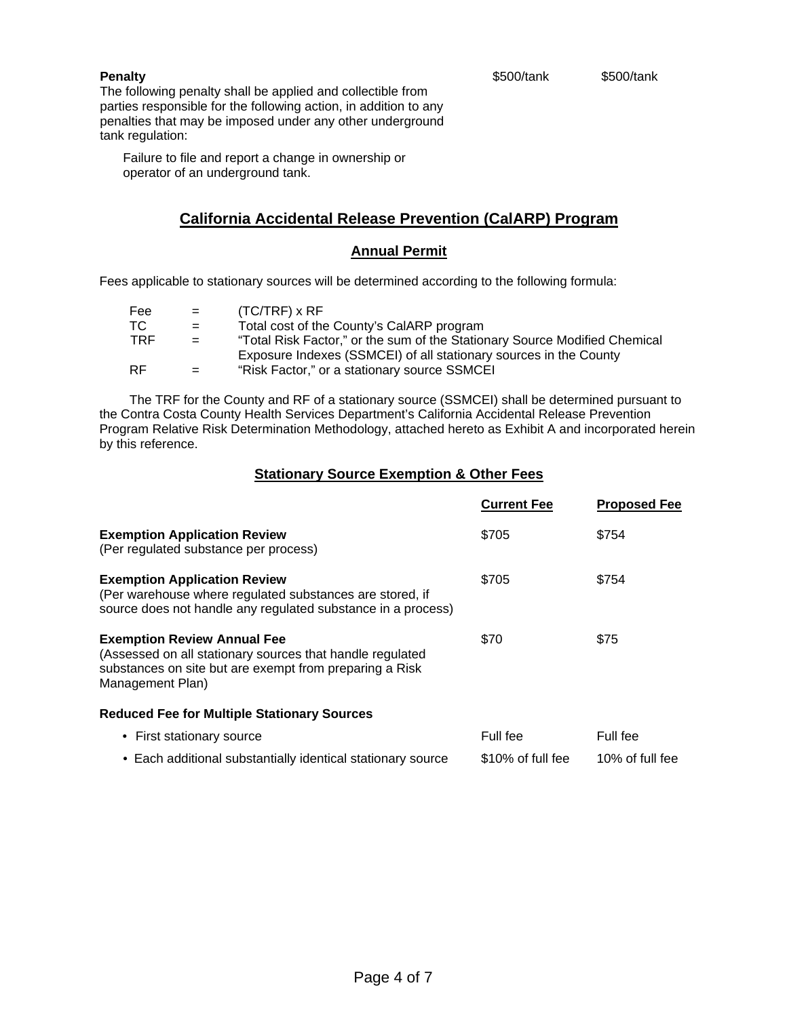#### \$500/tank \$500/tank

#### **Penalty**

The following penalty shall be applied and collectible from parties responsible for the following action, in addition to any penalties that may be imposed under any other underground tank regulation:

 Failure to file and report a change in ownership or operator of an underground tank.

### **California Accidental Release Prevention (CalARP) Program**

#### **Annual Permit**

Fees applicable to stationary sources will be determined according to the following formula:

| Fee        | $=$ $-$ | $(TC/TRF) \times RF$                                                       |
|------------|---------|----------------------------------------------------------------------------|
| TC.        | $=$     | Total cost of the County's CalARP program                                  |
| <b>TRF</b> | $=$     | "Total Risk Factor," or the sum of the Stationary Source Modified Chemical |
|            |         | Exposure Indexes (SSMCEI) of all stationary sources in the County          |
| <b>RF</b>  | $=$     | "Risk Factor," or a stationary source SSMCEI                               |

 The TRF for the County and RF of a stationary source (SSMCEI) shall be determined pursuant to the Contra Costa County Health Services Department's California Accidental Release Prevention Program Relative Risk Determination Methodology, attached hereto as Exhibit A and incorporated herein by this reference.

#### **Stationary Source Exemption & Other Fees**

|                                                                                                                                                                                | <b>Current Fee</b> | <b>Proposed Fee</b> |
|--------------------------------------------------------------------------------------------------------------------------------------------------------------------------------|--------------------|---------------------|
| <b>Exemption Application Review</b><br>(Per regulated substance per process)                                                                                                   | \$705              | \$754               |
| <b>Exemption Application Review</b><br>(Per warehouse where regulated substances are stored, if<br>source does not handle any regulated substance in a process)                | \$705              | \$754               |
| <b>Exemption Review Annual Fee</b><br>(Assessed on all stationary sources that handle regulated<br>substances on site but are exempt from preparing a Risk<br>Management Plan) | \$70               | \$75                |
| <b>Reduced Fee for Multiple Stationary Sources</b>                                                                                                                             |                    |                     |
| • First stationary source                                                                                                                                                      | Full fee           | Full fee            |
| • Each additional substantially identical stationary source                                                                                                                    | \$10% of full fee  | 10% of full fee     |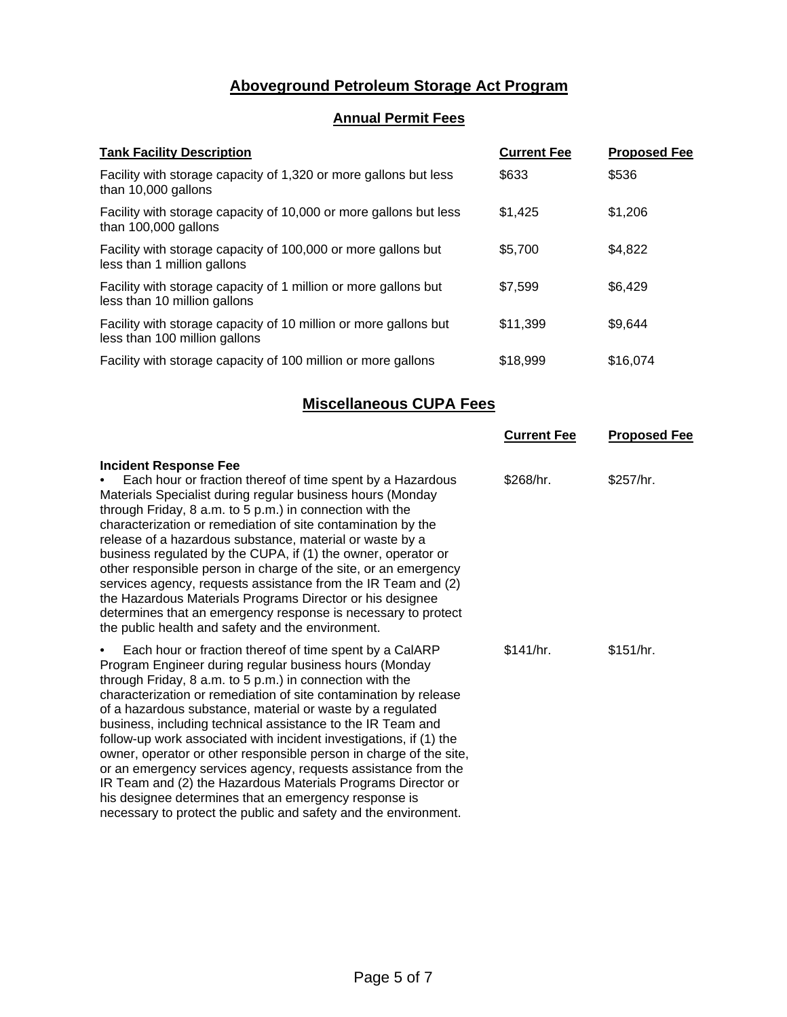# **Aboveground Petroleum Storage Act Program**

# **Annual Permit Fees**

| <b>Tank Facility Description</b>                                                                  | <b>Current Fee</b> | <b>Proposed Fee</b> |
|---------------------------------------------------------------------------------------------------|--------------------|---------------------|
| Facility with storage capacity of 1,320 or more gallons but less<br>than 10,000 gallons           | \$633              | \$536               |
| Facility with storage capacity of 10,000 or more gallons but less<br>than 100,000 gallons         | \$1,425            | \$1,206             |
| Facility with storage capacity of 100,000 or more gallons but<br>less than 1 million gallons      | \$5,700            | \$4,822             |
| Facility with storage capacity of 1 million or more gallons but<br>less than 10 million gallons   | \$7,599            | \$6,429             |
| Facility with storage capacity of 10 million or more gallons but<br>less than 100 million gallons | \$11,399           | \$9,644             |
| Facility with storage capacity of 100 million or more gallons                                     | \$18,999           | \$16,074            |

# **Miscellaneous CUPA Fees**

|                                                                                                                                                                                                                                                                                                                                                                                                                                                                                                                                                                                                                                                                                                                                          | <b>Current Fee</b> | <b>Proposed Fee</b> |
|------------------------------------------------------------------------------------------------------------------------------------------------------------------------------------------------------------------------------------------------------------------------------------------------------------------------------------------------------------------------------------------------------------------------------------------------------------------------------------------------------------------------------------------------------------------------------------------------------------------------------------------------------------------------------------------------------------------------------------------|--------------------|---------------------|
| <b>Incident Response Fee</b><br>Each hour or fraction thereof of time spent by a Hazardous<br>Materials Specialist during regular business hours (Monday<br>through Friday, 8 a.m. to 5 p.m.) in connection with the<br>characterization or remediation of site contamination by the<br>release of a hazardous substance, material or waste by a<br>business regulated by the CUPA, if (1) the owner, operator or<br>other responsible person in charge of the site, or an emergency<br>services agency, requests assistance from the IR Team and (2)<br>the Hazardous Materials Programs Director or his designee<br>determines that an emergency response is necessary to protect<br>the public health and safety and the environment. | \$268/hr.          | \$257/hr.           |
| Each hour or fraction thereof of time spent by a CalARP<br>$\bullet$<br>Program Engineer during regular business hours (Monday<br>through Friday, 8 a.m. to 5 p.m.) in connection with the<br>characterization or remediation of site contamination by release<br>of a hazardous substance, material or waste by a regulated<br>business, including technical assistance to the IR Team and<br>follow-up work associated with incident investigations, if (1) the<br>owner, operator or other responsible person in charge of the site,<br>or an emergency services agency, requests assistance from the<br>IR Team and (2) the Hazardous Materials Programs Director or<br>his designee determines that an emergency response is        | \$141/hr.          | \$151/hr.           |

necessary to protect the public and safety and the environment.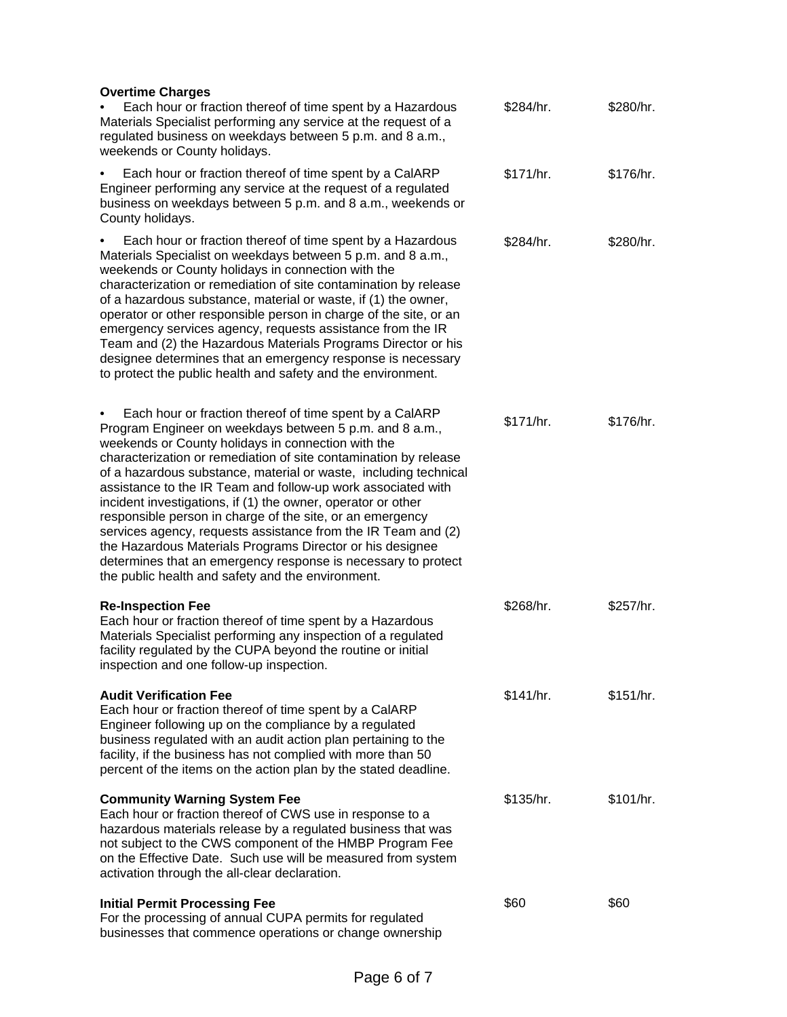| <b>Overtime Charges</b><br>Each hour or fraction thereof of time spent by a Hazardous<br>Materials Specialist performing any service at the request of a<br>regulated business on weekdays between 5 p.m. and 8 a.m.,<br>weekends or County holidays.                                                                                                                                                                                                                                                                                                                                                                                                                                                                                                                  | \$284/hr. | \$280/hr. |
|------------------------------------------------------------------------------------------------------------------------------------------------------------------------------------------------------------------------------------------------------------------------------------------------------------------------------------------------------------------------------------------------------------------------------------------------------------------------------------------------------------------------------------------------------------------------------------------------------------------------------------------------------------------------------------------------------------------------------------------------------------------------|-----------|-----------|
| Each hour or fraction thereof of time spent by a CalARP<br>Engineer performing any service at the request of a regulated<br>business on weekdays between 5 p.m. and 8 a.m., weekends or<br>County holidays.                                                                                                                                                                                                                                                                                                                                                                                                                                                                                                                                                            | \$171/hr. | \$176/hr. |
| Each hour or fraction thereof of time spent by a Hazardous<br>Materials Specialist on weekdays between 5 p.m. and 8 a.m.,<br>weekends or County holidays in connection with the<br>characterization or remediation of site contamination by release<br>of a hazardous substance, material or waste, if (1) the owner,<br>operator or other responsible person in charge of the site, or an<br>emergency services agency, requests assistance from the IR<br>Team and (2) the Hazardous Materials Programs Director or his<br>designee determines that an emergency response is necessary<br>to protect the public health and safety and the environment.                                                                                                               | \$284/hr. | \$280/hr. |
| Each hour or fraction thereof of time spent by a CalARP<br>٠<br>Program Engineer on weekdays between 5 p.m. and 8 a.m.,<br>weekends or County holidays in connection with the<br>characterization or remediation of site contamination by release<br>of a hazardous substance, material or waste, including technical<br>assistance to the IR Team and follow-up work associated with<br>incident investigations, if (1) the owner, operator or other<br>responsible person in charge of the site, or an emergency<br>services agency, requests assistance from the IR Team and (2)<br>the Hazardous Materials Programs Director or his designee<br>determines that an emergency response is necessary to protect<br>the public health and safety and the environment. | \$171/hr. | \$176/hr. |
| <b>Re-Inspection Fee</b><br>Each hour or fraction thereof of time spent by a Hazardous<br>Materials Specialist performing any inspection of a regulated<br>facility regulated by the CUPA beyond the routine or initial<br>inspection and one follow-up inspection.                                                                                                                                                                                                                                                                                                                                                                                                                                                                                                    | \$268/hr. | \$257/hr. |
| <b>Audit Verification Fee</b><br>Each hour or fraction thereof of time spent by a CalARP<br>Engineer following up on the compliance by a regulated<br>business regulated with an audit action plan pertaining to the<br>facility, if the business has not complied with more than 50<br>percent of the items on the action plan by the stated deadline.                                                                                                                                                                                                                                                                                                                                                                                                                | \$141/hr. | \$151/hr. |
| <b>Community Warning System Fee</b><br>Each hour or fraction thereof of CWS use in response to a<br>hazardous materials release by a regulated business that was<br>not subject to the CWS component of the HMBP Program Fee<br>on the Effective Date. Such use will be measured from system<br>activation through the all-clear declaration.                                                                                                                                                                                                                                                                                                                                                                                                                          | \$135/hr. | \$101/hr. |
| <b>Initial Permit Processing Fee</b><br>For the processing of annual CUPA permits for regulated<br>businesses that commence operations or change ownership                                                                                                                                                                                                                                                                                                                                                                                                                                                                                                                                                                                                             | \$60      | \$60      |